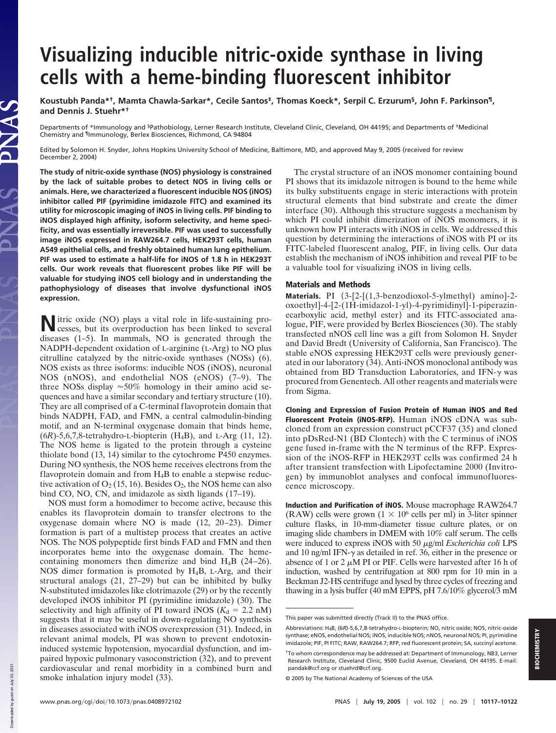## **Visualizing inducible nitric-oxide synthase in living cells with a heme-binding fluorescent inhibitor**

**Koustubh Panda\*† , Mamta Chawla-Sarkar\*, Cecile Santos‡ , Thomas Koeck\*, Serpil C. Erzurum§ , John F. Parkinson¶ , and Dennis J. Stuehr\*†**

Departments of \*Immunology and <sup>§</sup>Pathobiology, Lerner Research Institute, Cleveland Clinic, Cleveland, OH 44195; and Departments of <sup>‡</sup>Medicinal Chemistry and ¶Immunology, Berlex Biosciences, Richmond, CA 94804

Edited by Solomon H. Snyder, Johns Hopkins University School of Medicine, Baltimore, MD, and approved May 9, 2005 (received for review December 2, 2004)

**The study of nitric-oxide synthase (NOS) physiology is constrained by the lack of suitable probes to detect NOS in living cells or animals. Here, we characterized a fluorescent inducible NOS (iNOS) inhibitor called PIF (pyrimidine imidazole FITC) and examined its utility for microscopic imaging of iNOS in living cells. PIF binding to iNOS displayed high affinity, isoform selectivity, and heme specificity, and was essentially irreversible. PIF was used to successfully image iNOS expressed in RAW264.7 cells, HEK293T cells, human A549 epithelial cells, and freshly obtained human lung epithelium. PIF was used to estimate a half-life for iNOS of 1.8 h in HEK293T cells. Our work reveals that fluorescent probes like PIF will be valuable for studying iNOS cell biology and in understanding the pathophysiology of diseases that involve dysfunctional iNOS expression.**

**N** itric oxide (NO) plays a vital role in life-sustaining pro-<br>cesses, but its overproduction has been linked to several cesses, but its overproduction has been linked to several diseases (1–5). In mammals, NO is generated through the NADPH-dependent oxidation of L-arginine (L-Arg) to NO plus citrulline catalyzed by the nitric-oxide synthases (NOSs) (6). NOS exists as three isoforms: inducible NOS (iNOS), neuronal NOS (nNOS), and endothelial NOS (eNOS) (7-9). The three NOSs display  $\approx 50\%$  homology in their amino acid sequences and have a similar secondary and tertiary structure (10). They are all comprised of a C-terminal flavoprotein domain that binds NADPH, FAD, and FMN, a central calmodulin-binding motif, and an N-terminal oxygenase domain that binds heme, (6*R*)-5,6,7,8-tetrahydro-L-biopterin (H4B), and L-Arg (11, 12). The NOS heme is ligated to the protein through a cysteine thiolate bond (13, 14) similar to the cytochrome P450 enzymes. During NO synthesis, the NOS heme receives electrons from the flavoprotein domain and from H<sub>4</sub>B to enable a stepwise reductive activation of  $O_2$  (15, 16). Besides  $O_2$ , the NOS heme can also bind CO, NO, CN, and imidazole as sixth ligands (17–19).

NOS must form a homodimer to become active, because this enables its flavoprotein domain to transfer electrons to the oxygenase domain where NO is made (12, 20–23). Dimer formation is part of a multistep process that creates an active NOS. The NOS polypeptide first binds FAD and FMN and then incorporates heme into the oxygenase domain. The hemecontaining monomers then dimerize and bind H4B (24–26). NOS dimer formation is promoted by H4B, L-Arg, and their structural analogs (21, 27–29) but can be inhibited by bulky N-substituted imidazoles like clotrimazole (29) or by the recently developed iNOS inhibitor PI (pyrimidine imidazole) (30). The selectivity and high affinity of PI toward iNOS  $(K_d = 2.2 \text{ nM})$ suggests that it may be useful in down-regulating NO synthesis in diseases associated with iNOS overexpression (31). Indeed, in relevant animal models, PI was shown to prevent endotoxininduced systemic hypotension, myocardial dysfunction, and impaired hypoxic pulmonary vasoconstriction (32), and to prevent cardiovascular and renal morbidity in a combined burn and smoke inhalation injury model (33).

The crystal structure of an iNOS monomer containing bound PI shows that its imidazole nitrogen is bound to the heme while its bulky substituents engage in steric interactions with protein structural elements that bind substrate and create the dimer interface (30). Although this structure suggests a mechanism by which PI could inhibit dimerization of iNOS monomers, it is unknown how PI interacts with iNOS in cells. We addressed this question by determining the interactions of iNOS with PI or its FITC-labeled fluorescent analog, PIF, in living cells. Our data establish the mechanism of iNOS inhibition and reveal PIF to be a valuable tool for visualizing iNOS in living cells.

## Materials and Methods

Materials. PI {3-[2-[(1,3-benzodioxol-5-ylmethyl) amino]-2 oxoethyl]-4-[2-(1H-imidazol-1-yl)-4-pyrimidinyl]-1-piperazinecarboxylic acid, methyl ester} and its FITC-associated analogue, PIF, were provided by Berlex Biosciences (30). The stably transfected nNOS cell line was a gift from Solomon H. Snyder and David Bredt (University of California, San Francisco). The stable eNOS expressing HEK293T cells were previously generated in our laboratory (34). Anti-iNOS monoclonal antibody was obtained from BD Transduction Laboratories, and IFN- $\gamma$  was procured from Genentech. All other reagents and materials were from Sigma.

Cloning and Expression of Fusion Protein of Human iNOS and Red Fluorescent Protein (iNOS-RFP). Human iNOS cDNA was subcloned from an expression construct pCCF37 (35) and cloned into pDsRed-N1 (BD Clontech) with the C terminus of iNOS gene fused in-frame with the N terminus of the RFP. Expression of the iNOS-RFP in HEK293T cells was confirmed 24 h after transient transfection with Lipofectamine 2000 (Invitrogen) by immunoblot analyses and confocal immunofluorescence microscopy.

Induction and Purification of iNOS. Mouse macrophage RAW264.7 (RAW) cells were grown  $(1 \times 10^6$  cells per ml) in 3-liter spinner culture flasks, in 10-mm-diameter tissue culture plates, or on imaging slide chambers in DMEM with 10% calf serum. The cells were induced to express iNOS with 50  $\mu$ g/ml *Escherichia coli* LPS and 10 ng/ml IFN- $\gamma$  as detailed in ref. 36, either in the presence or absence of 1 or 2  $\mu$ M PI or PIF. Cells were harvested after 16 h of induction, washed by centrifugation at 800 rpm for 10 min in a Beckman J2-HS centrifuge and lysed by three cycles of freezing and thawing in a lysis buffer (40 mM EPPS, pH 7.6/10% glycerol/3 mM

Down

This paper was submitted directly (Track II) to the PNAS office.

Abbreviations: H4B, (6*R*)-5,6,7,8-tetrahydro-L-biopterin; NO, nitric oxide; NOS, nitric-oxide synthase; eNOS, endothelial NOS; iNOS, inducible NOS; nNOS, neuronal NOS; PI, pyrimidine imidazole; PIF, PI FITC; RAW, RAW264.7; RFP, red fluorescent protein; SA, succinyl acetone. †To whom correspondence may be addressed at: Department of Immunology, NB3, Lerner Research Institute, Cleveland Clinic, 9500 Euclid Avenue, Cleveland, OH 44195. E-mail:

pandak@ccf.org or stuehrd@ccf.org.

<sup>© 2005</sup> by The National Academy of Sciences of the USA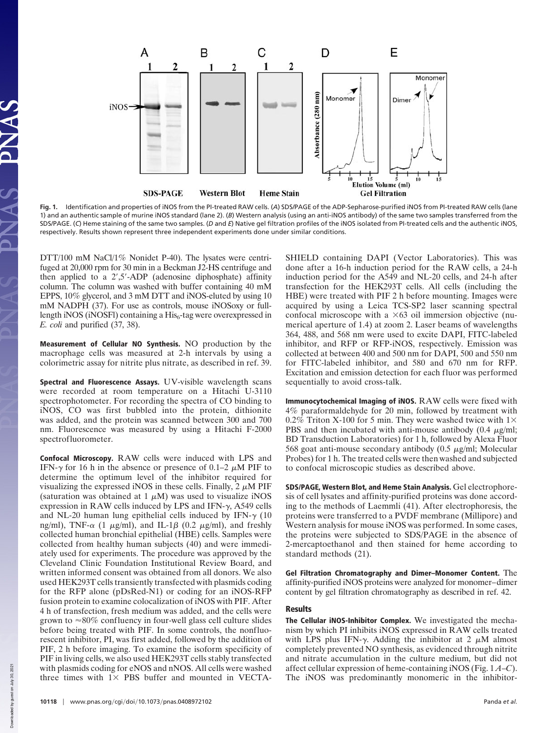

**Fig. 1.** Identification and properties of iNOS from the PI-treated RAW cells. (*A*) SDS/PAGE of the ADP-Sepharose-purified iNOS from PI-treated RAW cells (lane 1) and an authentic sample of murine iNOS standard (lane 2). (*B*) Western analysis (using an anti-iNOS antibody) of the same two samples transferred from the SDS/PAGE. (*C*) Heme staining of the same two samples. (*D* and *E*) Native gel filtration profiles of the iNOS isolated from PI-treated cells and the authentic iNOS, respectively. Results shown represent three independent experiments done under similar conditions.

DTT/100 mM NaCl/1% Nonidet P-40). The lysates were centrifuged at 20,000 rpm for 30 min in a Beckman J2-HS centrifuge and then applied to a  $2^{\prime}$ , 5'-ADP (adenosine diphosphate) affinity column. The column was washed with buffer containing 40 mM EPPS, 10% glycerol, and 3 mM DTT and iNOS-eluted by using 10 mM NADPH (37). For use as controls, mouse iNOSoxy or fulllength iNOS (iNOSFl) containing a His<sub>6</sub>-tag were overexpressed in *E. coli* and purified (37, 38).

Measurement of Cellular NO Synthesis. NO production by the macrophage cells was measured at 2-h intervals by using a colorimetric assay for nitrite plus nitrate, as described in ref. 39.

Spectral and Fluorescence Assays. UV-visible wavelength scans were recorded at room temperature on a Hitachi U-3110 spectrophotometer. For recording the spectra of CO binding to iNOS, CO was first bubbled into the protein, dithionite was added, and the protein was scanned between 300 and 700 nm. Fluorescence was measured by using a Hitachi F-2000 spectrofluorometer.

Confocal Microscopy. RAW cells were induced with LPS and IFN- $\gamma$  for 16 h in the absence or presence of 0.1–2  $\mu$ M PIF to determine the optimum level of the inhibitor required for visualizing the expressed iNOS in these cells. Finally,  $2 \mu M$  PIF (saturation was obtained at  $1 \mu M$ ) was used to visualize iNOS expression in RAW cells induced by LPS and IFN- $\gamma$ , A549 cells and NL-20 human lung epithelial cells induced by IFN- $\gamma$  (10 ng/ml), TNF- $\alpha$  (1  $\mu$ g/ml), and IL-1 $\beta$  (0.2  $\mu$ g/ml), and freshly collected human bronchial epithelial (HBE) cells. Samples were collected from healthy human subjects (40) and were immediately used for experiments. The procedure was approved by the Cleveland Clinic Foundation Institutional Review Board, and written informed consent was obtained from all donors. We also used HEK293T cells transiently transfected with plasmids coding for the RFP alone (pDsRed-N1) or coding for an iNOS-RFP fusion protein to examine colocalization of iNOS with PIF. After 4 h of transfection, fresh medium was added, and the cells were grown to  $\approx 80\%$  confluency in four-well glass cell culture slides before being treated with PIF. In some controls, the nonfluorescent inhibitor, PI, was first added, followed by the addition of PIF, 2 h before imaging. To examine the isoform specificity of PIF in living cells, we also used HEK293T cells stably transfected with plasmids coding for eNOS and nNOS. All cells were washed three times with  $1 \times$  PBS buffer and mounted in VECTA-

SHIELD containing DAPI (Vector Laboratories). This was done after a 16-h induction period for the RAW cells, a 24-h induction period for the A549 and NL-20 cells, and 24-h after transfection for the HEK293T cells. All cells (including the HBE) were treated with PIF 2 h before mounting. Images were acquired by using a Leica TCS-SP2 laser scanning spectral confocal microscope with a  $\times 63$  oil immersion objective (numerical aperture of 1.4) at zoom 2. Laser beams of wavelengths 364, 488, and 568 nm were used to excite DAPI, FITC-labeled inhibitor, and RFP or RFP-iNOS, respectively. Emission was collected at between 400 and 500 nm for DAPI, 500 and 550 nm for FITC-labeled inhibitor, and 580 and 670 nm for RFP. Excitation and emission detection for each fluor was performed sequentially to avoid cross-talk.

Immunocytochemical Imaging of iNOS. RAW cells were fixed with 4% paraformaldehyde for 20 min, followed by treatment with 0.2% Triton X-100 for 5 min. They were washed twice with  $1\times$ PBS and then incubated with anti-mouse antibody  $(0.4 \mu g/ml)$ ; BD Transduction Laboratories) for 1 h, followed by Alexa Fluor 568 goat anti-mouse secondary antibody  $(0.5 \ \mu g/ml)$ ; Molecular Probes) for 1 h. The treated cells were then washed and subjected to confocal microscopic studies as described above.

SDS/PAGE, Western Blot, and Heme Stain Analysis. Gel electrophoresis of cell lysates and affinity-purified proteins was done according to the methods of Laemmli (41). After electrophoresis, the proteins were transferred to a PVDF membrane (Millipore) and Western analysis for mouse iNOS was performed. In some cases, the proteins were subjected to SDS/PAGE in the absence of 2-mercaptoethanol and then stained for heme according to standard methods (21).

Gel Filtration Chromatography and Dimer–Monomer Content. The affinity-purified iNOS proteins were analyzed for monomer–dimer content by gel filtration chromatography as described in ref. 42.

## Results

The Cellular iNOS-Inhibitor Complex. We investigated the mechanism by which PI inhibits iNOS expressed in RAW cells treated with LPS plus IFN- $\gamma$ . Adding the inhibitor at 2  $\mu$ M almost completely prevented NO synthesis, as evidenced through nitrite and nitrate accumulation in the culture medium, but did not affect cellular expression of heme-containing iNOS (Fig. 1 *A*–*C*). The iNOS was predominantly monomeric in the inhibitor-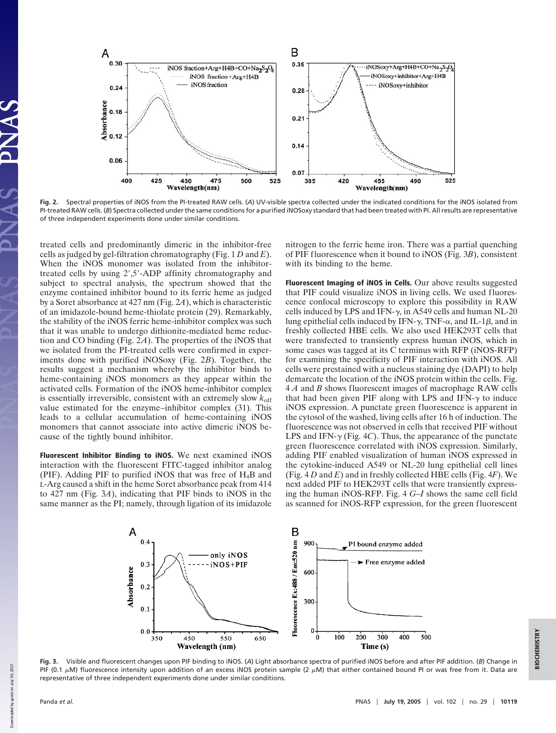

**Fig. 2.** Spectral properties of iNOS from the PI-treated RAW cells. (*A*) UV-visible spectra collected under the indicated conditions for the iNOS isolated from PI-treated RAW cells. (*B*) Spectra collected under the same conditions for a purified iNOSoxy standard that had been treated with PI. All results are representative of three independent experiments done under similar conditions.

treated cells and predominantly dimeric in the inhibitor-free cells as judged by gel-filtration chromatography (Fig. 1 *D* and *E*). When the iNOS monomer was isolated from the inhibitortreated cells by using 2',5'-ADP affinity chromatography and subject to spectral analysis, the spectrum showed that the enzyme contained inhibitor bound to its ferric heme as judged by a Soret absorbance at 427 nm (Fig. 2*A*), which is characteristic of an imidazole-bound heme-thiolate protein (29). Remarkably, the stability of the iNOS ferric heme-inhibitor complex was such that it was unable to undergo dithionite-mediated heme reduction and CO binding (Fig. 2*A*). The properties of the iNOS that we isolated from the PI-treated cells were confirmed in experiments done with purified iNOSoxy (Fig. 2*B*). Together, the results suggest a mechanism whereby the inhibitor binds to heme-containing iNOS monomers as they appear within the activated cells. Formation of the iNOS heme-inhibitor complex is essentially irreversible, consistent with an extremely slow  $k_{\text{off}}$ value estimated for the enzyme–inhibitor complex (31). This leads to a cellular accumulation of heme-containing iNOS monomers that cannot associate into active dimeric iNOS because of the tightly bound inhibitor.

Fluorescent Inhibitor Binding to iNOS. We next examined iNOS interaction with the fluorescent FITC-tagged inhibitor analog (PIF). Adding PIF to purified iNOS that was free of H4B and L-Arg caused a shift in the heme Soret absorbance peak from 414 to 427 nm (Fig. 3*A*), indicating that PIF binds to iNOS in the same manner as the PI; namely, through ligation of its imidazole nitrogen to the ferric heme iron. There was a partial quenching of PIF fluorescence when it bound to iNOS (Fig. 3*B*), consistent with its binding to the heme.

Fluorescent Imaging of iNOS in Cells. Our above results suggested that PIF could visualize iNOS in living cells. We used fluorescence confocal microscopy to explore this possibility in RAW cells induced by LPS and IFN- $\gamma$ , in A549 cells and human NL-20 lung epithelial cells induced by IFN- $\gamma$ , TNF- $\alpha$ , and IL-1 $\beta$ , and in freshly collected HBE cells. We also used HEK293T cells that were transfected to transiently express human iNOS, which in some cases was tagged at its C terminus with RFP (iNOS-RFP) for examining the specificity of PIF interaction with iNOS. All cells were prestained with a nucleus staining dye (DAPI) to help demarcate the location of the iNOS protein within the cells. Fig. 4 *A* and *B* shows fluorescent images of macrophage RAW cells that had been given PIF along with LPS and IFN- $\gamma$  to induce iNOS expression. A punctate green fluorescence is apparent in the cytosol of the washed, living cells after 16 h of induction. The fluorescence was not observed in cells that received PIF without LPS and IFN- $\gamma$  (Fig. 4*C*). Thus, the appearance of the punctate green fluorescence correlated with iNOS expression. Similarly, adding PIF enabled visualization of human iNOS expressed in the cytokine-induced A549 or NL-20 lung epithelial cell lines (Fig. 4 *D* and *E*) and in freshly collected HBE cells (Fig. 4*F*). We next added PIF to HEK293T cells that were transiently expressing the human iNOS-RFP. Fig. 4 *G*–*I* shows the same cell field as scanned for iNOS-RFP expression, for the green fluorescent



**Fig. 3.** Visible and fluorescent changes upon PIF binding to iNOS. (*A*) Light absorbance spectra of purified iNOS before and after PIF addition. (*B*) Change in PIF (0.1  $\mu$ M) fluorescence intensity upon addition of an excess iNOS protein sample (2  $\mu$ M) that either contained bound PI or was free from it. Data are representative of three independent experiments done under similar conditions.

Downloaded by guest on July 30, 2021

Down

loaded by guest on July 30, 2021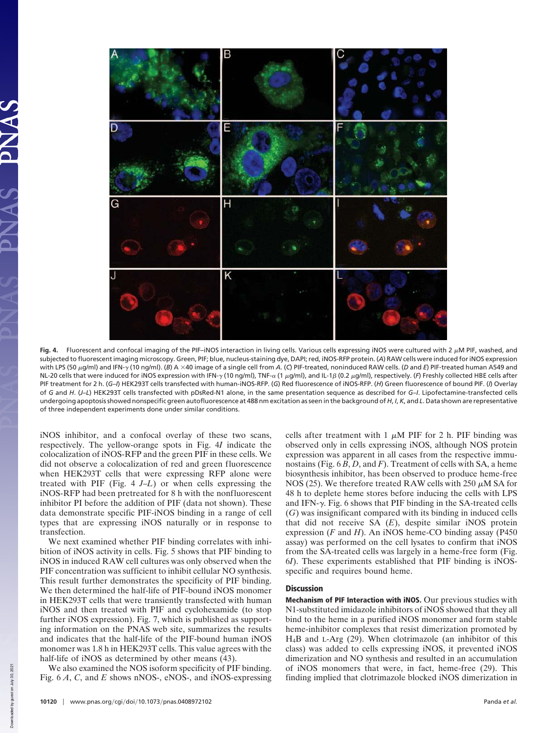

Fig. 4. Fluorescent and confocal imaging of the PIF–iNOS interaction in living cells. Various cells expressing iNOS were cultured with 2  $\mu$ M PIF, washed, and subjected to fluorescent imaging microscopy. Green, PIF; blue, nucleus-staining dye, DAPI; red, iNOS-RFP protein. (*A*) RAW cells were induced for iNOS expression with LPS (50 µg/ml) and IFN- $\gamma$  (10 ng/ml). (*B*) A ×40 image of a single cell from *A*. (*C*) PIF-treated, noninduced RAW cells. (*D* and *E*) PIF-treated human A549 and NL-20 cells that were induced for iNOS expression with IFN-γ (10 ng/ml), TNF-α (1 μg/ml), and IL-1β (0.2 μg/ml), respectively. (*F*) Freshly collected HBE cells after PIF treatment for 2 h. (*G*–*I*) HEK293T cells transfected with human-iNOS-RFP. (*G*) Red fluorescence of iNOS-RFP. (*H*) Green fluorescence of bound PIF. (*I*) Overlay of *G* and *H*. (*J*–*L*) HEK293T cells transfected with pDsRed-N1 alone, in the same presentation sequence as described for *G*–*I*. Lipofectamine-transfected cells undergoing apoptosis showed nonspecific green autofluorescence at 488 nm excitation as seen in the background of *H*, *I*,*K*, and *L*. Data shown are representative of three independent experiments done under similar conditions.

iNOS inhibitor, and a confocal overlay of these two scans, respectively. The yellow-orange spots in Fig. 4*I* indicate the colocalization of iNOS-RFP and the green PIF in these cells. We did not observe a colocalization of red and green fluorescence when HEK293T cells that were expressing RFP alone were treated with PIF (Fig. 4 *J*–*L*) or when cells expressing the iNOS-RFP had been pretreated for 8 h with the nonfluorescent inhibitor PI before the addition of PIF (data not shown). These data demonstrate specific PIF-iNOS binding in a range of cell types that are expressing iNOS naturally or in response to transfection.

We next examined whether PIF binding correlates with inhibition of iNOS activity in cells. Fig. 5 shows that PIF binding to iNOS in induced RAW cell cultures was only observed when the PIF concentration was sufficient to inhibit cellular NO synthesis. This result further demonstrates the specificity of PIF binding. We then determined the half-life of PIF-bound iNOS monomer in HEK293T cells that were transiently transfected with human iNOS and then treated with PIF and cyclohexamide (to stop further iNOS expression). Fig. 7, which is published as supporting information on the PNAS web site, summarizes the results and indicates that the half-life of the PIF-bound human iNOS monomer was 1.8 h in HEK293T cells. This value agrees with the half-life of iNOS as determined by other means (43).

We also examined the NOS isoform specificity of PIF binding. Fig. 6 *A*, *C*, and *E* shows nNOS-, eNOS-, and iNOS-expressing

cells after treatment with 1  $\mu$ M PIF for 2 h. PIF binding was observed only in cells expressing iNOS, although NOS protein expression was apparent in all cases from the respective immunostains (Fig. 6 *B*, *D*, and *F*). Treatment of cells with SA, a heme biosynthesis inhibitor, has been observed to produce heme-free NOS (25). We therefore treated RAW cells with 250  $\mu$ M SA for 48 h to deplete heme stores before inducing the cells with LPS and IFN- $\gamma$ . Fig. 6 shows that PIF binding in the SA-treated cells (*G*) was insignificant compared with its binding in induced cells that did not receive SA (*E*), despite similar iNOS protein expression (*F* and *H*). An iNOS heme-CO binding assay (P450 assay) was performed on the cell lysates to confirm that iNOS from the SA-treated cells was largely in a heme-free form (Fig. 6*I*). These experiments established that PIF binding is iNOSspecific and requires bound heme.

## **Discussion**

Mechanism of PIF Interaction with iNOS. Our previous studies with N1-substituted imidazole inhibitors of iNOS showed that they all bind to the heme in a purified iNOS monomer and form stable heme-inhibitor complexes that resist dimerization promoted by H4B and L-Arg (29). When clotrimazole (an inhibitor of this class) was added to cells expressing iNOS, it prevented iNOS dimerization and NO synthesis and resulted in an accumulation of iNOS monomers that were, in fact, heme-free (29). This finding implied that clotrimazole blocked iNOS dimerization in

Down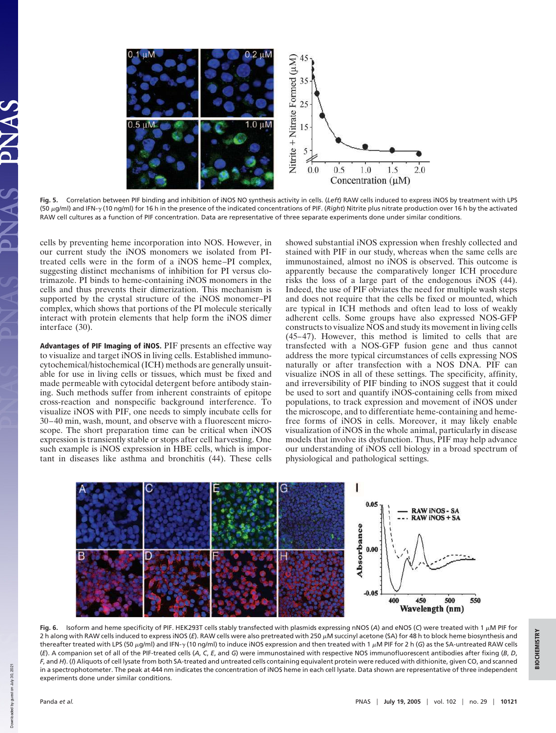

**Fig. 5.** Correlation between PIF binding and inhibition of iNOS NO synthesis activity in cells. (*Left*) RAW cells induced to express iNOS by treatment with LPS (50 μg/ml) and IFN-γ(10 ng/ml) for 16 h in the presence of the indicated concentrations of PIF. (*Right*) Nitrite plus nitrate production over 16 h by the activated RAW cell cultures as a function of PIF concentration. Data are representative of three separate experiments done under similar conditions.

cells by preventing heme incorporation into NOS. However, in our current study the iNOS monomers we isolated from PItreated cells were in the form of a iNOS heme–PI complex, suggesting distinct mechanisms of inhibition for PI versus clotrimazole. PI binds to heme-containing iNOS monomers in the cells and thus prevents their dimerization. This mechanism is supported by the crystal structure of the iNOS monomer–PI complex, which shows that portions of the PI molecule sterically interact with protein elements that help form the iNOS dimer interface (30).

Advantages of PIF Imaging of iNOS. PIF presents an effective way to visualize and target iNOS in living cells. Established immunocytochemical/histochemical (ICH) methods are generally unsuitable for use in living cells or tissues, which must be fixed and made permeable with cytocidal detergent before antibody staining. Such methods suffer from inherent constraints of epitope cross-reaction and nonspecific background interference. To visualize iNOS with PIF, one needs to simply incubate cells for 30–40 min, wash, mount, and observe with a fluorescent microscope. The short preparation time can be critical when iNOS expression is transiently stable or stops after cell harvesting. One such example is  $NOS$  expression in HBE cells, which is important in diseases like asthma and bronchitis (44). These cells showed substantial iNOS expression when freshly collected and stained with PIF in our study, whereas when the same cells are immunostained, almost no iNOS is observed. This outcome is apparently because the comparatively longer ICH procedure risks the loss of a large part of the endogenous iNOS (44). Indeed, the use of PIF obviates the need for multiple wash steps and does not require that the cells be fixed or mounted, which are typical in ICH methods and often lead to loss of weakly adherent cells. Some groups have also expressed NOS-GFP constructs to visualize NOS and study its movement in living cells (45–47). However, this method is limited to cells that are transfected with a NOS-GFP fusion gene and thus cannot address the more typical circumstances of cells expressing NOS naturally or after transfection with a NOS DNA. PIF can visualize iNOS in all of these settings. The specificity, affinity, and irreversibility of PIF binding to iNOS suggest that it could be used to sort and quantify iNOS-containing cells from mixed populations, to track expression and movement of iNOS under the microscope, and to differentiate heme-containing and hemefree forms of iNOS in cells. Moreover, it may likely enable visualization of iNOS in the whole animal, particularly in disease models that involve its dysfunction. Thus, PIF may help advance our understanding of iNOS cell biology in a broad spectrum of physiological and pathological settings.



**Fig. 6.** Isoform and heme specificity of PIF. HEK293T cells stably transfected with plasmids expressing nNOS (A) and eNOS (C) were treated with 1  $\mu$ M PIF for 2 h along with RAW cells induced to express iNOS (*E*). RAW cells were also pretreated with 250  $\mu$ M succinyl acetone (SA) for 48 h to block heme biosynthesis and thereafter treated with LPS (50  $\mu$ g/ml) and IFN- $\gamma$  (10 ng/ml) to induce iNOS expression and then treated with 1  $\mu$ M PIF for 2 h (G) as the SA-untreated RAW cells (*E*). A companion set of all of the PIF-treated cells (*A*, *C*, *E*, and *G*) were immunostained with respective NOS immunofluorescent antibodies after fixing (*B*, *D*, *F*, and *H*). (*I*) Aliquots of cell lysate from both SA-treated and untreated cells containing equivalent protein were reduced with dithionite, given CO, and scanned in a spectrophotometer. The peak at 444 nm indicates the concentration of iNOS heme in each cell lysate. Data shown are representative of three independent experiments done under similar conditions.

Downloaded by guest on July 30, 2021

loaded by guest on July 30,

Down

2021